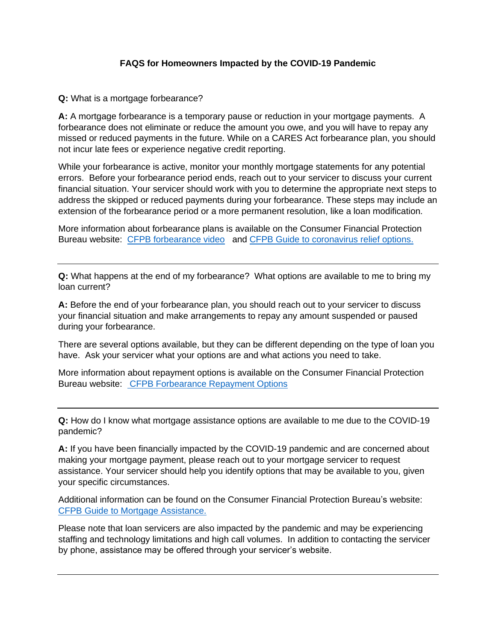## **FAQS for Homeowners Impacted by the COVID-19 Pandemic**

**Q:** What is a mortgage forbearance?

**A:** A mortgage forbearance is a temporary pause or reduction in your mortgage payments. A forbearance does not eliminate or reduce the amount you owe, and you will have to repay any missed or reduced payments in the future. While on a CARES Act forbearance plan, you should not incur late fees or experience negative credit reporting.

While your forbearance is active, monitor your monthly mortgage statements for any potential errors. Before your forbearance period ends, reach out to your servicer to discuss your current financial situation. Your servicer should work with you to determine the appropriate next steps to address the skipped or reduced payments during your forbearance. These steps may include an extension of the forbearance period or a more permanent resolution, like a loan modification.

More information about forbearance plans is available on the Consumer Financial Protection Bureau website: [CFPB forbearance video](https://www.youtube.com/watch?v=br5EPugsnLs&feature=emb_title) and [CFPB Guide to coronavirus relief options.](https://www.consumerfinance.gov/coronavirus/mortgage-and-housing-assistance/#options)

**Q:** What happens at the end of my forbearance? What options are available to me to bring my loan current?

**A:** Before the end of your forbearance plan, you should reach out to your servicer to discuss your financial situation and make arrangements to repay any amount suspended or paused during your forbearance.

There are several options available, but they can be different depending on the type of loan you have. Ask your servicer what your options are and what actions you need to take.

More information about repayment options is available on the Consumer Financial Protection Bureau website: [CFPB Forbearance Repayment Options](https://www.consumerfinance.gov/coronavirus/mortgage-and-housing-assistance/help-for-homeowners/repay-forbearance/)

**Q:** How do I know what mortgage assistance options are available to me due to the COVID-19 pandemic?

**A:** If you have been financially impacted by the COVID-19 pandemic and are concerned about making your mortgage payment, please reach out to your mortgage servicer to request assistance. Your servicer should help you identify options that may be available to you, given your specific circumstances.

Additional information can be found on the Consumer Financial Protection Bureau's website: [CFPB Guide to Mortgage Assistance.](https://www.consumerfinance.gov/coronavirus/mortgage-and-housing-assistance/)

Please note that loan servicers are also impacted by the pandemic and may be experiencing staffing and technology limitations and high call volumes. In addition to contacting the servicer by phone, assistance may be offered through your servicer's website.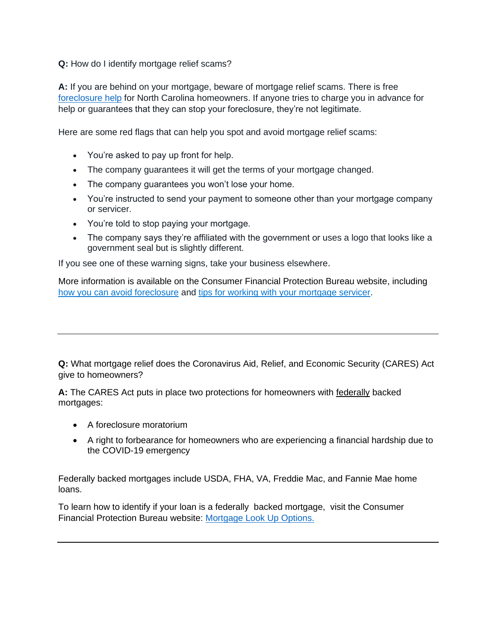**Q:** How do I identify mortgage relief scams?

**A:** If you are behind on your mortgage, beware of mortgage relief scams. There is free [foreclosure help](https://www.ncsha.org/housing-service/north-carolina-housing-finance-agency/) for North Carolina homeowners. If anyone tries to charge you in advance for help or guarantees that they can stop your foreclosure, they're not legitimate.

Here are some red flags that can help you spot and avoid mortgage relief scams:

- You're asked to pay up front for help.
- The company guarantees it will get the terms of your mortgage changed.
- The company guarantees you won't lose your home.
- You're instructed to send your payment to someone other than your mortgage company or servicer.
- You're told to stop paying your mortgage.
- The company says they're affiliated with the government or uses a logo that looks like a government seal but is slightly different.

If you see one of these warning signs, take your business elsewhere.

More information is available on the Consumer Financial Protection Bureau website, including [how you can avoid foreclosure](https://urldefense.com/v3/__https:/lnks.gd/l/eyJhbGciOiJIUzI1NiJ9.eyJidWxsZXRpbl9saW5rX2lkIjoxMDIsInVyaSI6ImJwMjpjbGljayIsImJ1bGxldGluX2lkIjoiMjAyMTAyMjQuMzU4NjQxMjEiLCJ1cmwiOiJodHRwczovL3d3dy5jb25zdW1lcmZpbmFuY2UuZ292L2Fzay1jZnBiL2lmLWktY2FudC1wYXktbXktbW9ydGdhZ2UtbG9hbi13aGF0LWFyZS1teS1vcHRpb25zLWVuLTI2OC8jdXRtX3NvdXJjZT1uZXdzbGV0dGVyJnV0bV9tZWRpdW09ZW1haWwmdXRtX2NhbXBhaWduPU9BIn0.eTdFoFdIWPSFFEi062fIZjsQnnYQKqsd_p7KrDSyBPk/s/418052823/br/98282983712-l__;!!HYmSToo!KXx6vwcVjVU-474qrePnE9nXI98ABs4JDaTlQq_hO9cLz1qgpDgoF-LEd_U4-ZbPrA$) and [tips for working with your mortgage servicer.](https://urldefense.com/v3/__https:/lnks.gd/l/eyJhbGciOiJIUzI1NiJ9.eyJidWxsZXRpbl9saW5rX2lkIjoxMDMsInVyaSI6ImJwMjpjbGljayIsImJ1bGxldGluX2lkIjoiMjAyMTAyMjQuMzU4NjQxMjEiLCJ1cmwiOiJodHRwczovL3d3dy5jb25zdW1lcmZpbmFuY2UuZ292L2Fzay1jZnBiL2RvZXMtbXktbW9ydGdhZ2Utc2VydmljZXItaGF2ZS10by1oZWxwLW1lLWF2b2lkLWZvcmVjbG9zdXJlLWVuLTE4MDMvI3V0bV9zb3VyY2U9bmV3c2xldHRlciZ1dG1fbWVkaXVtPWVtYWlsJnV0bV9jYW1wYWlnbj1PQSJ9.u_mw79HiGn0nQMmjrE6qsAQ0IYEEB9NfEH7ZgXLFkA4/s/418052823/br/98282983712-l__;!!HYmSToo!KXx6vwcVjVU-474qrePnE9nXI98ABs4JDaTlQq_hO9cLz1qgpDgoF-LEd_WyuPteoA$)

**Q:** What mortgage relief does the Coronavirus Aid, Relief, and Economic Security (CARES) Act give to homeowners?

**A:** The CARES Act puts in place two protections for homeowners with federally backed mortgages:

- A foreclosure moratorium
- A right to forbearance for homeowners who are experiencing a financial hardship due to the COVID-19 emergency

Federally backed mortgages include USDA, FHA, VA, Freddie Mac, and Fannie Mae home loans.

To learn how to identify if your loan is a federally backed mortgage, visit the Consumer Financial Protection Bureau website: [Mortgage Look Up Options.](https://www.consumerfinance.gov/ask-cfpb/how-can-i-tell-who-owns-my-mortgage-en-214/)